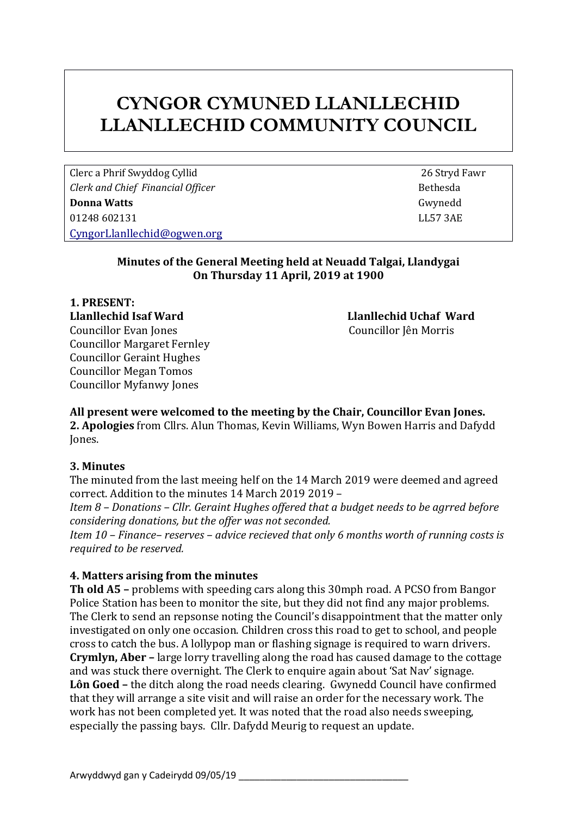# **CYNGOR CYMUNED LLANLLECHID LLANLLECHID COMMUNITY COUNCIL**

Clerc a Phrif Swyddog Cyllid 26 Stryd Fawr *Clerk and Chief Financial Officer* Bethesda **Bethesda Donna Watts** Gwynedd 01248 602131 LL57 3AE [CyngorLlanllechid@ogwen.org](mailto:CyngorLlanllechid@ogwen.org)

#### **Minutes of the General Meeting held at Neuadd Talgai, Llandygai On Thursday 11 April, 2019 at 1900**

**1. PRESENT: Llanllechid Isaf Ward Llanllechid Uchaf Ward** Councillor Evan Jones Councillor Jên Morris Councillor Margaret Fernley Councillor Geraint Hughes Councillor Megan Tomos Councillor Myfanwy Jones

# **All present were welcomed to the meeting by the Chair, Councillor Evan Jones.**

**2. Apologies** from Cllrs. Alun Thomas, Kevin Williams, Wyn Bowen Harris and Dafydd Jones.

#### **3. Minutes**

The minuted from the last meeing helf on the 14 March 2019 were deemed and agreed correct. Addition to the minutes 14 March 2019 2019 –

*Item 8 – Donations – Cllr. Geraint Hughes offered that a budget needs to be agrred before considering donations, but the offer was not seconded.* 

*Item 10 – Finance– reserves – advice recieved that only 6 months worth of running costs is required to be reserved.*

# **4. Matters arising from the minutes**

**Th old A5 –** problems with speeding cars along this 30mph road. A PCSO from Bangor Police Station has been to monitor the site, but they did not find any major problems. The Clerk to send an repsonse noting the Council's disappointment that the matter only investigated on only one occasion. Children cross this road to get to school, and people cross to catch the bus. A lollypop man or flashing signage is required to warn drivers. **Crymlyn, Aber –** large lorry travelling along the road has caused damage to the cottage and was stuck there overnight. The Clerk to enquire again about 'Sat Nav' signage. **Lôn Goed –** the ditch along the road needs clearing. Gwynedd Council have confirmed that they will arrange a site visit and will raise an order for the necessary work. The work has not been completed yet. It was noted that the road also needs sweeping, especially the passing bays. Cllr. Dafydd Meurig to request an update.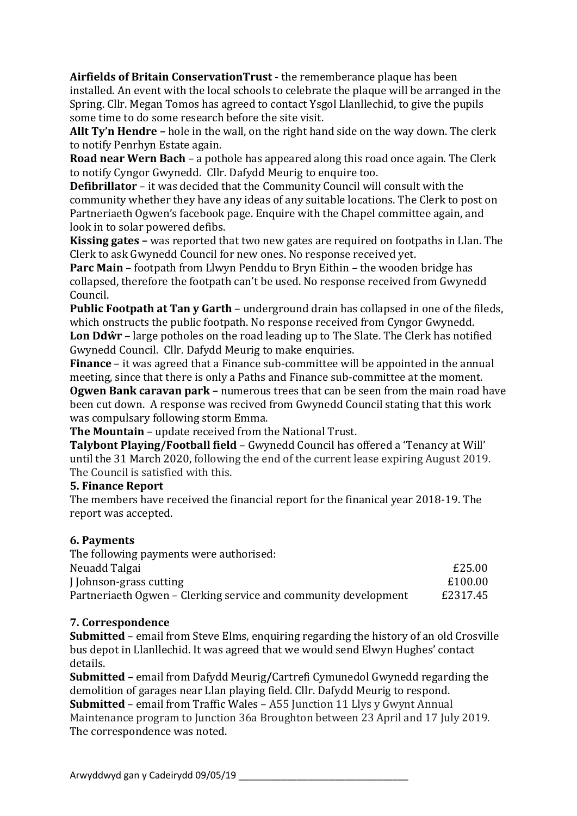**Airfields of Britain ConservationTrust** - the rememberance plaque has been installed. An event with the local schools to celebrate the plaque will be arranged in the Spring. Cllr. Megan Tomos has agreed to contact Ysgol Llanllechid, to give the pupils some time to do some research before the site visit.

**Allt Ty'n Hendre –** hole in the wall, on the right hand side on the way down. The clerk to notify Penrhyn Estate again.

**Road near Wern Bach** – a pothole has appeared along this road once again. The Clerk to notify Cyngor Gwynedd. Cllr. Dafydd Meurig to enquire too.

**Defibrillator** – it was decided that the Community Council will consult with the community whether they have any ideas of any suitable locations. The Clerk to post on Partneriaeth Ogwen's facebook page. Enquire with the Chapel committee again, and look in to solar powered defibs.

**Kissing gates –** was reported that two new gates are required on footpaths in Llan. The Clerk to ask Gwynedd Council for new ones. No response received yet.

**Parc Main** – footpath from Llwyn Penddu to Bryn Eithin – the wooden bridge has collapsed, therefore the footpath can't be used. No response received from Gwynedd Council.

**Public Footpath at Tan y Garth** – underground drain has collapsed in one of the fileds, which onstructs the public footpath. No response received from Cyngor Gwynedd. **Lon Ddŵr** – large potholes on the road leading up to The Slate. The Clerk has notified Gwynedd Council. Cllr. Dafydd Meurig to make enquiries.

**Finance** – it was agreed that a Finance sub-committee will be appointed in the annual meeting, since that there is only a Paths and Finance sub-committee at the moment.

**Ogwen Bank caravan park –** numerous trees that can be seen from the main road have been cut down. A response was recived from Gwynedd Council stating that this work was compulsary following storm Emma.

**The Mountain** – update received from the National Trust.

**Talybont Playing/Football field** – Gwynedd Council has offered a 'Tenancy at Will' until the 31 March 2020, following the end of the current lease expiring August 2019. The Council is satisfied with this.

# **5. Finance Report**

The members have received the financial report for the finanical year 2018-19. The report was accepted.

# **6. Payments**

| The following payments were authorised:                         |          |
|-----------------------------------------------------------------|----------|
| Neuadd Talgai                                                   | £25.00   |
| J Johnson-grass cutting                                         | £100.00  |
| Partneriaeth Ogwen – Clerking service and community development | £2317.45 |

# **7. Correspondence**

**Submitted** – email from Steve Elms, enquiring regarding the history of an old Crosville bus depot in Llanllechid. It was agreed that we would send Elwyn Hughes' contact details.

**Submitted –** email from Dafydd Meurig**/**Cartrefi Cymunedol Gwynedd regarding the demolition of garages near Llan playing field. Cllr. Dafydd Meurig to respond. **Submitted** – email from Traffic Wales – A55 Junction 11 Llys y Gwynt Annual Maintenance program to Junction 36a Broughton between 23 April and 17 July 2019. The correspondence was noted.